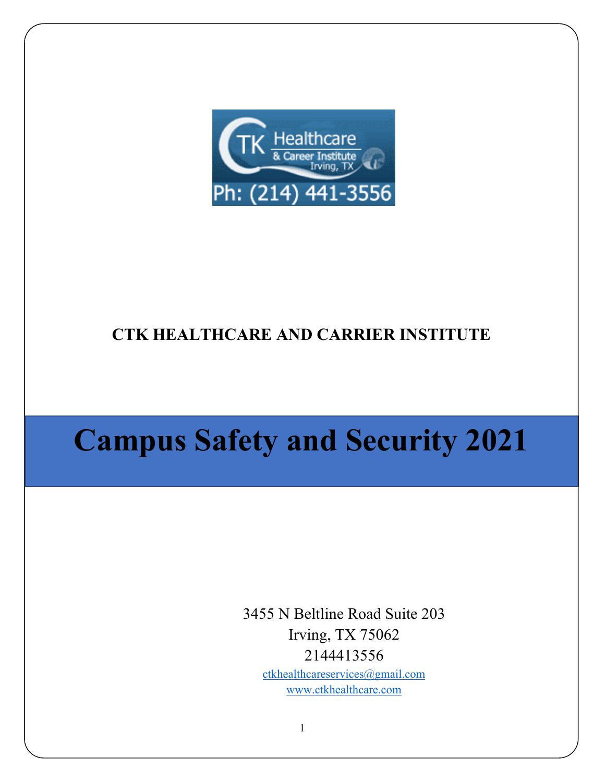

# **CTK HEALTHCARE AND CARRIER INSTITUTE**

# **Campus Safety and Security 2021**

3455 N Beltline Road Suite 203 Irving, TX 75062 2144413556 [ctkhealthcareservices@gmail.com](mailto:ctkhealthcareservices@gmail.com)

[www.ctkhealthcare.com](http://www.ctkhealthcare.com/)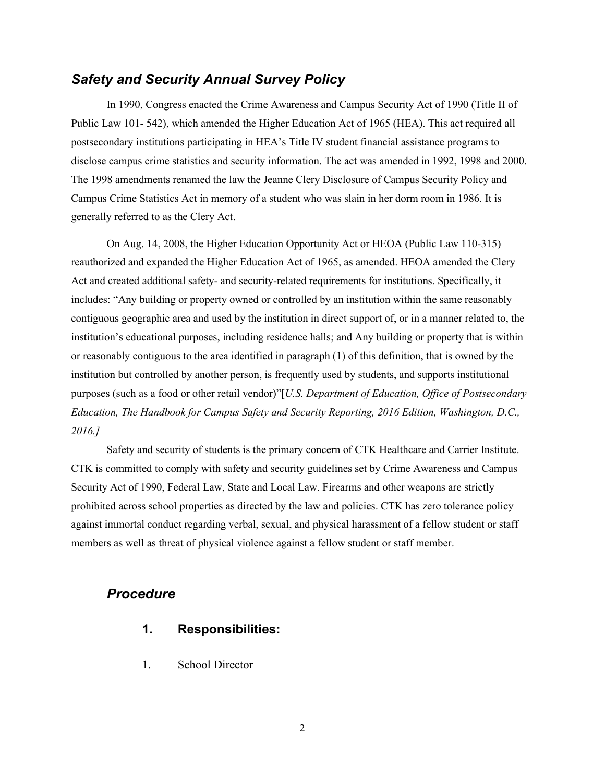### *Safety and Security Annual Survey Policy*

In 1990, Congress enacted the Crime Awareness and Campus Security Act of 1990 (Title II of Public Law 101- 542), which amended the Higher Education Act of 1965 (HEA). This act required all postsecondary institutions participating in HEA's Title IV student financial assistance programs to disclose campus crime statistics and security information. The act was amended in 1992, 1998 and 2000. The 1998 amendments renamed the law the Jeanne Clery Disclosure of Campus Security Policy and Campus Crime Statistics Act in memory of a student who was slain in her dorm room in 1986. It is generally referred to as the Clery Act.

On Aug. 14, 2008, the Higher Education Opportunity Act or HEOA (Public Law 110-315) reauthorized and expanded the Higher Education Act of 1965, as amended. HEOA amended the Clery Act and created additional safety- and security-related requirements for institutions. Specifically, it includes: "Any building or property owned or controlled by an institution within the same reasonably contiguous geographic area and used by the institution in direct support of, or in a manner related to, the institution's educational purposes, including residence halls; and Any building or property that is within or reasonably contiguous to the area identified in paragraph (1) of this definition, that is owned by the institution but controlled by another person, is frequently used by students, and supports institutional purposes (such as a food or other retail vendor)"[*U.S. Department of Education, Office of Postsecondary Education, The Handbook for Campus Safety and Security Reporting, 2016 Edition, Washington, D.C., 2016.]*

Safety and security of students is the primary concern of CTK Healthcare and Carrier Institute. CTK is committed to comply with safety and security guidelines set by Crime Awareness and Campus Security Act of 1990, Federal Law, State and Local Law. Firearms and other weapons are strictly prohibited across school properties as directed by the law and policies. CTK has zero tolerance policy against immortal conduct regarding verbal, sexual, and physical harassment of a fellow student or staff members as well as threat of physical violence against a fellow student or staff member.

#### *Procedure*

- **1. Responsibilities:**
- 1. School Director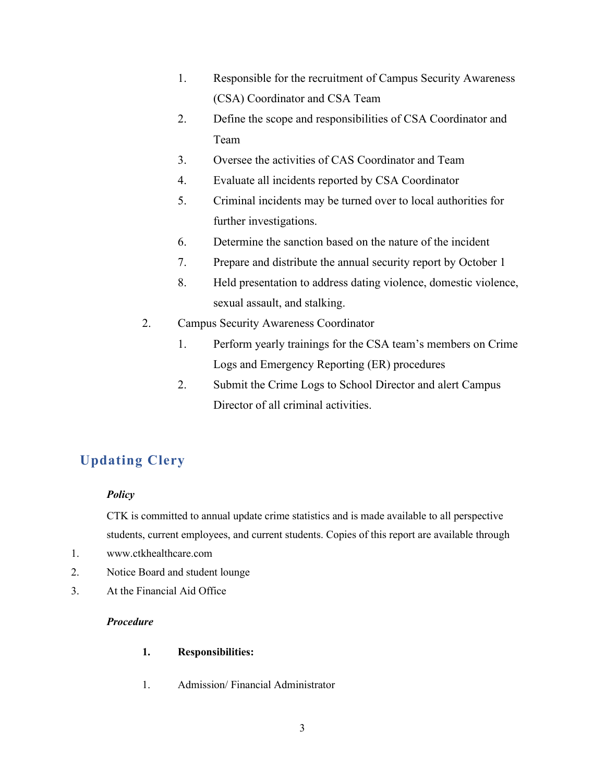- 1. Responsible for the recruitment of Campus Security Awareness (CSA) Coordinator and CSA Team
- 2. Define the scope and responsibilities of CSA Coordinator and Team
- 3. Oversee the activities of CAS Coordinator and Team
- 4. Evaluate all incidents reported by CSA Coordinator
- 5. Criminal incidents may be turned over to local authorities for further investigations.
- 6. Determine the sanction based on the nature of the incident
- 7. Prepare and distribute the annual security report by October 1
- 8. Held presentation to address dating violence, domestic violence, sexual assault, and stalking.
- 2. Campus Security Awareness Coordinator
	- 1. Perform yearly trainings for the CSA team's members on Crime Logs and Emergency Reporting (ER) procedures
	- 2. Submit the Crime Logs to School Director and alert Campus Director of all criminal activities.

## **Updating Clery**

#### *Policy*

CTK is committed to annual update crime statistics and is made available to all perspective students, current employees, and current students. Copies of this report are available through

- 1. www.ctkhealthcare.com
- 2. Notice Board and student lounge
- 3. At the Financial Aid Office

#### *Procedure*

#### **1. Responsibilities:**

1. Admission/ Financial Administrator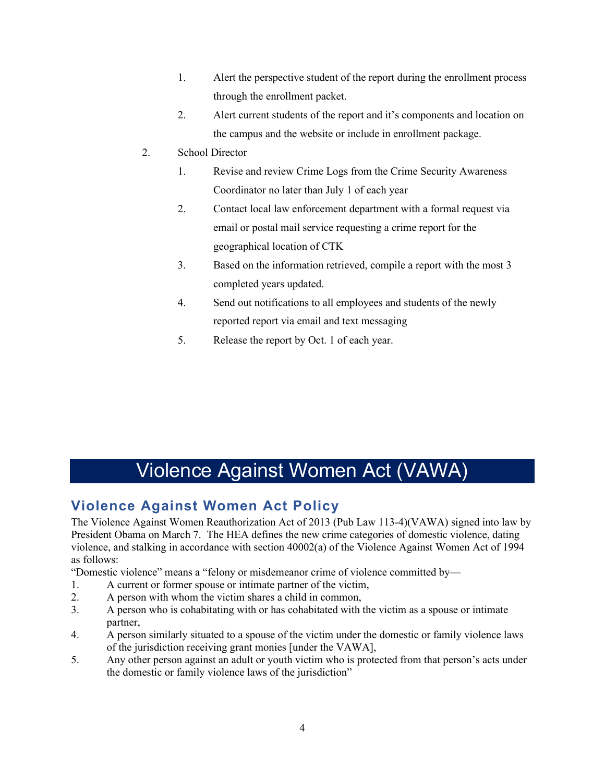- 1. Alert the perspective student of the report during the enrollment process through the enrollment packet.
- 2. Alert current students of the report and it's components and location on the campus and the website or include in enrollment package.
- 2. School Director
	- 1. Revise and review Crime Logs from the Crime Security Awareness Coordinator no later than July 1 of each year
	- 2. Contact local law enforcement department with a formal request via email or postal mail service requesting a crime report for the geographical location of CTK
	- 3. Based on the information retrieved, compile a report with the most 3 completed years updated.
	- 4. Send out notifications to all employees and students of the newly reported report via email and text messaging
	- 5. Release the report by Oct. 1 of each year.

# Violence Against Women Act (VAWA)

## **Violence Against Women Act Policy**

The Violence Against Women Reauthorization Act of 2013 (Pub Law 113-4)(VAWA) signed into law by President Obama on March 7. The HEA defines the new crime categories of domestic violence, dating violence, and stalking in accordance with section 40002(a) of the Violence Against Women Act of 1994 as follows:

"Domestic violence" means a "felony or misdemeanor crime of violence committed by—

- 1. A current or former spouse or intimate partner of the victim,
- 2. A person with whom the victim shares a child in common,
- 3. A person who is cohabitating with or has cohabitated with the victim as a spouse or intimate partner,
- 4. A person similarly situated to a spouse of the victim under the domestic or family violence laws of the jurisdiction receiving grant monies [under the VAWA],
- 5. Any other person against an adult or youth victim who is protected from that person's acts under the domestic or family violence laws of the jurisdiction"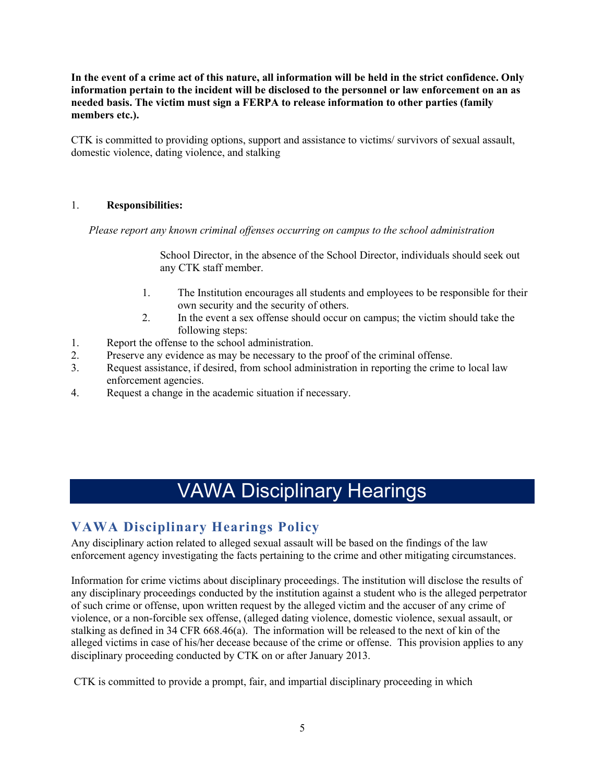**In the event of a crime act of this nature, all information will be held in the strict confidence. Only information pertain to the incident will be disclosed to the personnel or law enforcement on an as needed basis. The victim must sign a FERPA to release information to other parties (family members etc.).**

CTK is committed to providing options, support and assistance to victims/ survivors of sexual assault, domestic violence, dating violence, and stalking

#### 1. **Responsibilities:**

*Please report any known criminal offenses occurring on campus to the school administration* 

School Director, in the absence of the School Director, individuals should seek out any CTK staff member.

- 1. The Institution encourages all students and employees to be responsible for their own security and the security of others.
- 2. In the event a sex offense should occur on campus; the victim should take the following steps:
- 1. Report the offense to the school administration.
- 2. Preserve any evidence as may be necessary to the proof of the criminal offense.
- 3. Request assistance, if desired, from school administration in reporting the crime to local law enforcement agencies.
- 4. Request a change in the academic situation if necessary.

# VAWA Disciplinary Hearings

## **VAWA Disciplinary Hearings Policy**

Any disciplinary action related to alleged sexual assault will be based on the findings of the law enforcement agency investigating the facts pertaining to the crime and other mitigating circumstances.

Information for crime victims about disciplinary proceedings. The institution will disclose the results of any disciplinary proceedings conducted by the institution against a student who is the alleged perpetrator of such crime or offense, upon written request by the alleged victim and the accuser of any crime of violence, or a non-forcible sex offense, (alleged dating violence, domestic violence, sexual assault, or stalking as defined in 34 CFR 668.46(a). The information will be released to the next of kin of the alleged victims in case of his/her decease because of the crime or offense. This provision applies to any disciplinary proceeding conducted by CTK on or after January 2013.

CTK is committed to provide a prompt, fair, and impartial disciplinary proceeding in which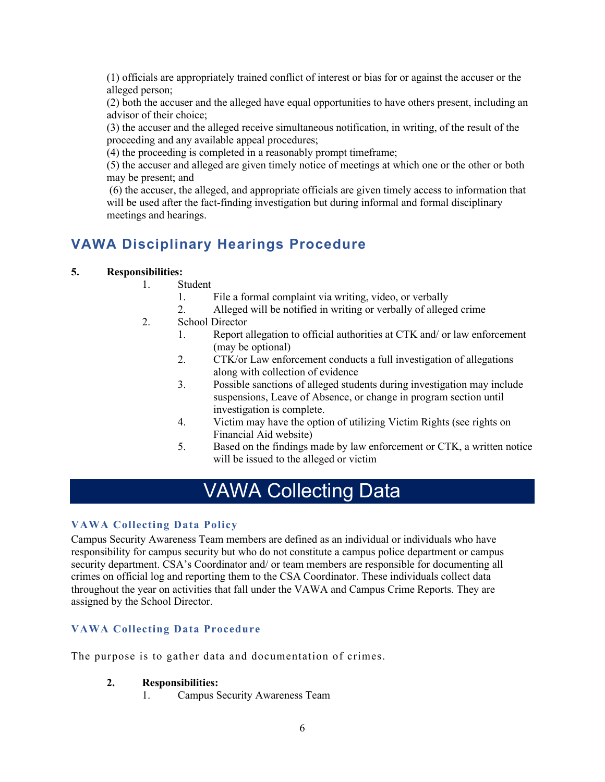(1) officials are appropriately trained conflict of interest or bias for or against the accuser or the alleged person;

(2) both the accuser and the alleged have equal opportunities to have others present, including an advisor of their choice;

(3) the accuser and the alleged receive simultaneous notification, in writing, of the result of the proceeding and any available appeal procedures;

(4) the proceeding is completed in a reasonably prompt timeframe;

(5) the accuser and alleged are given timely notice of meetings at which one or the other or both may be present; and

(6) the accuser, the alleged, and appropriate officials are given timely access to information that will be used after the fact-finding investigation but during informal and formal disciplinary meetings and hearings.

## **VAWA Disciplinary Hearings Procedure**

#### **5. Responsibilities:**

- 1. Student
	- 1. File a formal complaint via writing, video, or verbally
	- 2. Alleged will be notified in writing or verbally of alleged crime
- 2. School Director
	- 1. Report allegation to official authorities at CTK and/ or law enforcement (may be optional)
	- 2. CTK/or Law enforcement conducts a full investigation of allegations along with collection of evidence
	- 3. Possible sanctions of alleged students during investigation may include suspensions, Leave of Absence, or change in program section until investigation is complete.
	- 4. Victim may have the option of utilizing Victim Rights (see rights on Financial Aid website)
	- 5. Based on the findings made by law enforcement or CTK, a written notice will be issued to the alleged or victim

# VAWA Collecting Data

#### **VAWA Collecting Data Policy**

Campus Security Awareness Team members are defined as an individual or individuals who have responsibility for campus security but who do not constitute a campus police department or campus security department. CSA's Coordinator and/ or team members are responsible for documenting all crimes on official log and reporting them to the CSA Coordinator. These individuals collect data throughout the year on activities that fall under the VAWA and Campus Crime Reports. They are assigned by the School Director.

#### **VAWA Collecting Data Procedure**

The purpose is to gather data and documentation of crimes.

#### **2. Responsibilities:**

1. Campus Security Awareness Team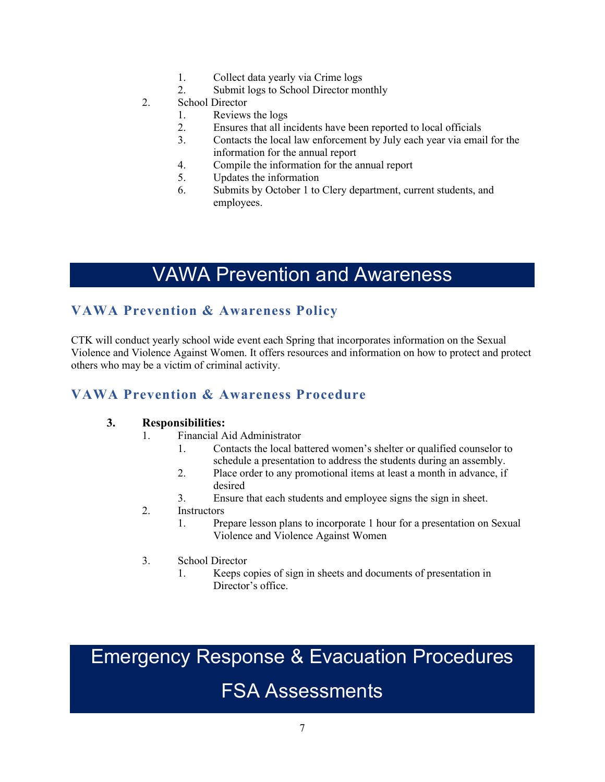- 1. Collect data yearly via Crime logs
- 2. Submit logs to School Director monthly
- 2. School Director
	- 1. Reviews the logs
	- 2. Ensures that all incidents have been reported to local officials
	- 3. Contacts the local law enforcement by July each year via email for the information for the annual report
	- 4. Compile the information for the annual report
	- 5. Updates the information
	- 6. Submits by October 1 to Clery department, current students, and employees.

# VAWA Prevention and Awareness

## **VAWA Prevention & Awareness Policy**

CTK will conduct yearly school wide event each Spring that incorporates information on the Sexual Violence and Violence Against Women. It offers resources and information on how to protect and protect others who may be a victim of criminal activity.

## **VAWA Prevention & Awareness Procedure**

#### **3. Responsibilities:**

- 1. Financial Aid Administrator
	- 1. Contacts the local battered women's shelter or qualified counselor to schedule a presentation to address the students during an assembly.
	- 2. Place order to any promotional items at least a month in advance, if desired
	- 3. Ensure that each students and employee signs the sign in sheet.

#### 2. Instructors

- 1. Prepare lesson plans to incorporate 1 hour for a presentation on Sexual Violence and Violence Against Women
- 3. School Director
	- 1. Keeps copies of sign in sheets and documents of presentation in Director's office.

# Emergency Response & Evacuation Procedures

# FSA Assessments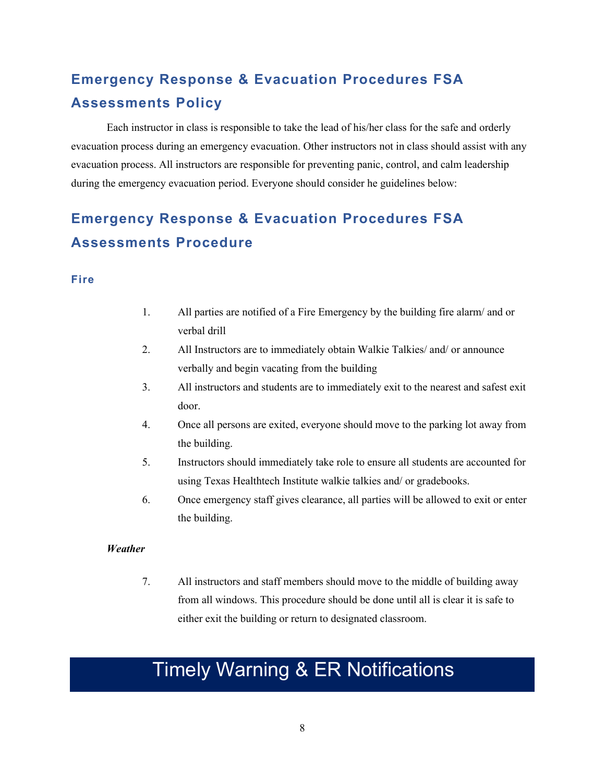## **Emergency Response & Evacuation Procedures FSA Assessments Policy**

Each instructor in class is responsible to take the lead of his/her class for the safe and orderly evacuation process during an emergency evacuation. Other instructors not in class should assist with any evacuation process. All instructors are responsible for preventing panic, control, and calm leadership during the emergency evacuation period. Everyone should consider he guidelines below:

## **Emergency Response & Evacuation Procedures FSA Assessments Procedure**

#### **Fire**

- 1. All parties are notified of a Fire Emergency by the building fire alarm/ and or verbal drill
- 2. All Instructors are to immediately obtain Walkie Talkies/ and/ or announce verbally and begin vacating from the building
- 3. All instructors and students are to immediately exit to the nearest and safest exit door.
- 4. Once all persons are exited, everyone should move to the parking lot away from the building.
- 5. Instructors should immediately take role to ensure all students are accounted for using Texas Healthtech Institute walkie talkies and/ or gradebooks.
- 6. Once emergency staff gives clearance, all parties will be allowed to exit or enter the building.

#### *Weather*

7. All instructors and staff members should move to the middle of building away from all windows. This procedure should be done until all is clear it is safe to either exit the building or return to designated classroom.

# Timely Warning & ER Notifications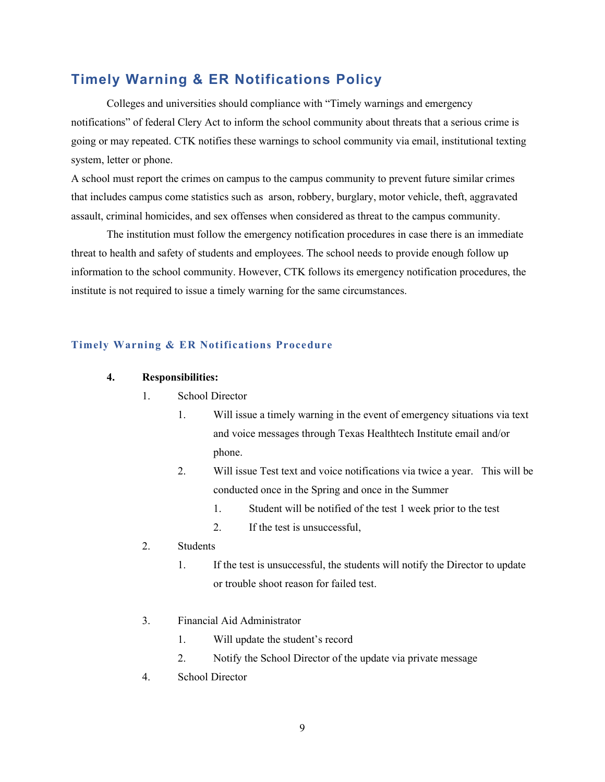### **Timely Warning & ER Notifications Policy**

Colleges and universities should compliance with "Timely warnings and emergency notifications" of federal Clery Act to inform the school community about threats that a serious crime is going or may repeated. CTK notifies these warnings to school community via email, institutional texting system, letter or phone.

A school must report the crimes on campus to the campus community to prevent future similar crimes that includes campus come statistics such as arson, robbery, burglary, motor vehicle, theft, aggravated assault, criminal homicides, and sex offenses when considered as threat to the campus community.

The institution must follow the emergency notification procedures in case there is an immediate threat to health and safety of students and employees. The school needs to provide enough follow up information to the school community. However, CTK follows its emergency notification procedures, the institute is not required to issue a timely warning for the same circumstances.

#### **Timely Warning & ER Notifications Procedure**

#### **4. Responsibilities:**

- 1. School Director
	- 1. Will issue a timely warning in the event of emergency situations via text and voice messages through Texas Healthtech Institute email and/or phone.
	- 2. Will issue Test text and voice notifications via twice a year. This will be conducted once in the Spring and once in the Summer
		- 1. Student will be notified of the test 1 week prior to the test
		- 2. If the test is unsuccessful,
- 2. Students
	- 1. If the test is unsuccessful, the students will notify the Director to update or trouble shoot reason for failed test.
- 3. Financial Aid Administrator
	- 1. Will update the student's record
	- 2. Notify the School Director of the update via private message
- 4. School Director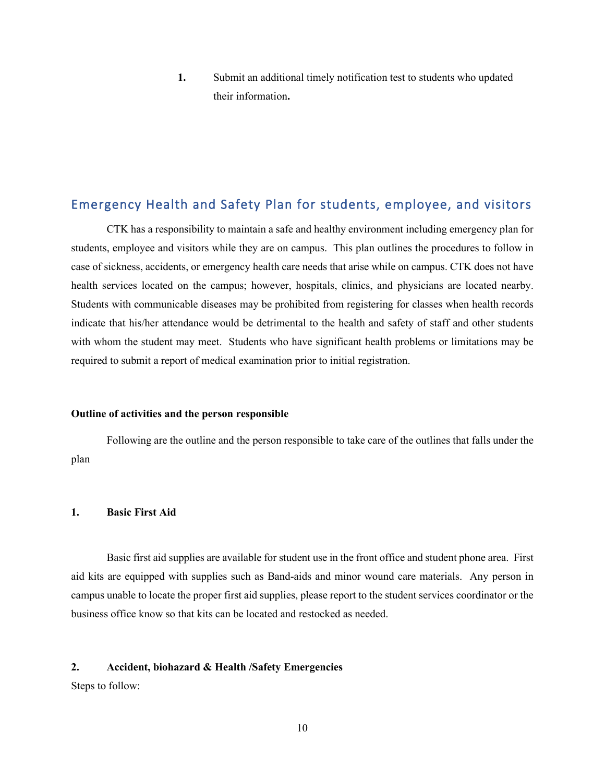**1.** Submit an additional timely notification test to students who updated their information**.** 

## Emergency Health and Safety Plan for students, employee, and visitors

CTK has a responsibility to maintain a safe and healthy environment including emergency plan for students, employee and visitors while they are on campus. This plan outlines the procedures to follow in case of sickness, accidents, or emergency health care needs that arise while on campus. CTK does not have health services located on the campus; however, hospitals, clinics, and physicians are located nearby. Students with communicable diseases may be prohibited from registering for classes when health records indicate that his/her attendance would be detrimental to the health and safety of staff and other students with whom the student may meet. Students who have significant health problems or limitations may be required to submit a report of medical examination prior to initial registration.

#### **Outline of activities and the person responsible**

Following are the outline and the person responsible to take care of the outlines that falls under the plan

#### **1. Basic First Aid**

Basic first aid supplies are available for student use in the front office and student phone area. First aid kits are equipped with supplies such as Band-aids and minor wound care materials. Any person in campus unable to locate the proper first aid supplies, please report to the student services coordinator or the business office know so that kits can be located and restocked as needed.

#### **2. Accident, biohazard & Health /Safety Emergencies**

Steps to follow: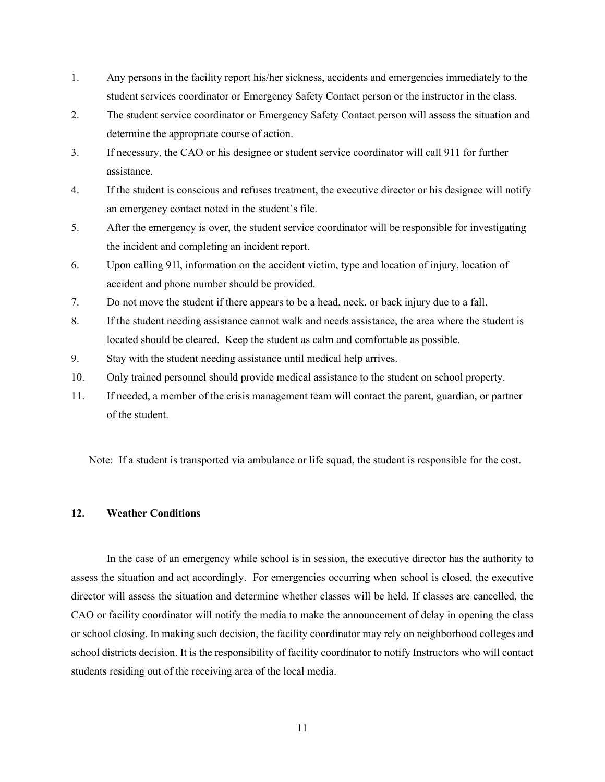- 1. Any persons in the facility report his/her sickness, accidents and emergencies immediately to the student services coordinator or Emergency Safety Contact person or the instructor in the class.
- 2. The student service coordinator or Emergency Safety Contact person will assess the situation and determine the appropriate course of action.
- 3. If necessary, the CAO or his designee or student service coordinator will call 911 for further assistance.
- 4. If the student is conscious and refuses treatment, the executive director or his designee will notify an emergency contact noted in the student's file.
- 5. After the emergency is over, the student service coordinator will be responsible for investigating the incident and completing an incident report.
- 6. Upon calling 91l, information on the accident victim, type and location of injury, location of accident and phone number should be provided.
- 7. Do not move the student if there appears to be a head, neck, or back injury due to a fall.
- 8. If the student needing assistance cannot walk and needs assistance, the area where the student is located should be cleared. Keep the student as calm and comfortable as possible.
- 9. Stay with the student needing assistance until medical help arrives.
- 10. Only trained personnel should provide medical assistance to the student on school property.
- 11. If needed, a member of the crisis management team will contact the parent, guardian, or partner of the student.

Note: If a student is transported via ambulance or life squad, the student is responsible for the cost.

#### **12. Weather Conditions**

In the case of an emergency while school is in session, the executive director has the authority to assess the situation and act accordingly. For emergencies occurring when school is closed, the executive director will assess the situation and determine whether classes will be held. If classes are cancelled, the CAO or facility coordinator will notify the media to make the announcement of delay in opening the class or school closing. In making such decision, the facility coordinator may rely on neighborhood colleges and school districts decision. It is the responsibility of facility coordinator to notify Instructors who will contact students residing out of the receiving area of the local media.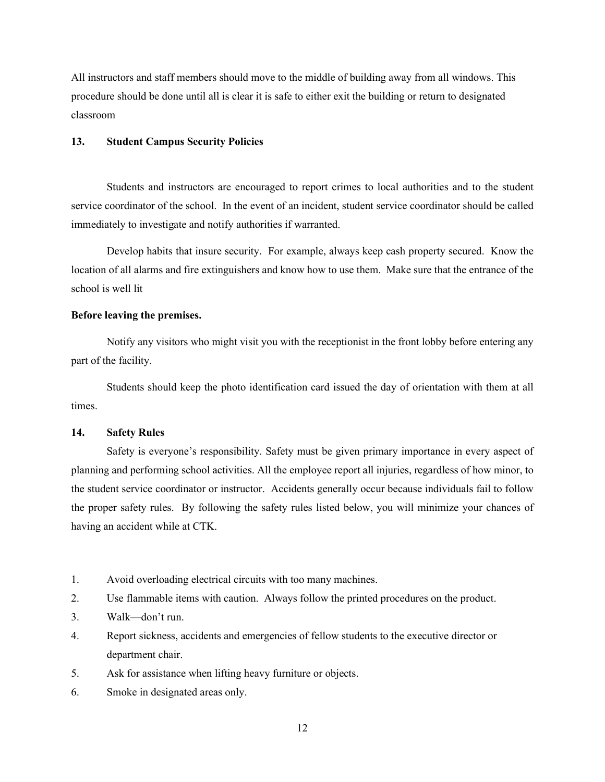All instructors and staff members should move to the middle of building away from all windows. This procedure should be done until all is clear it is safe to either exit the building or return to designated classroom

#### **13. Student Campus Security Policies**

Students and instructors are encouraged to report crimes to local authorities and to the student service coordinator of the school. In the event of an incident, student service coordinator should be called immediately to investigate and notify authorities if warranted.

Develop habits that insure security. For example, always keep cash property secured. Know the location of all alarms and fire extinguishers and know how to use them. Make sure that the entrance of the school is well lit

#### **Before leaving the premises.**

Notify any visitors who might visit you with the receptionist in the front lobby before entering any part of the facility.

Students should keep the photo identification card issued the day of orientation with them at all times.

#### **14. Safety Rules**

Safety is everyone's responsibility. Safety must be given primary importance in every aspect of planning and performing school activities. All the employee report all injuries, regardless of how minor, to the student service coordinator or instructor. Accidents generally occur because individuals fail to follow the proper safety rules. By following the safety rules listed below, you will minimize your chances of having an accident while at CTK.

- 1. Avoid overloading electrical circuits with too many machines.
- 2. Use flammable items with caution. Always follow the printed procedures on the product.
- 3. Walk—don't run.
- 4. Report sickness, accidents and emergencies of fellow students to the executive director or department chair.
- 5. Ask for assistance when lifting heavy furniture or objects.
- 6. Smoke in designated areas only.